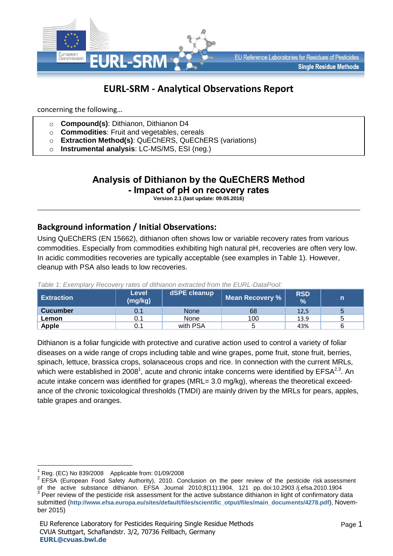

# **EURL-SRM - Analytical Observations Report**

concerning the following…

- o **Compound(s)**: Dithianon, Dithianon D4
- o **Commodities**: Fruit and vegetables, cereals
- o **Extraction Method(s)**: QuEChERS, QuEChERS (variations)
- o **Instrumental analysis**: LC-MS/MS, ESI (neg.)

# **Analysis of Dithianon by the QuEChERS Method - Impact of pH on recovery rates**

**Version 2.1 (last update: 09.05.2016)**

## **Background information / Initial Observations:**

Using QuEChERS (EN 15662), dithianon often shows low or variable recovery rates from various commodities. Especially from commodities exhibiting high natural pH, recoveries are often very low. In acidic commodities recoveries are typically acceptable (see examples in Table 1). However, cleanup with PSA also leads to low recoveries.

| <b>Extraction</b> | Level<br>(mg/kg) | dSPE cleanup | <b>Mean Recovery %</b> | <b>RSD</b><br>$\frac{9}{6}$ | n |
|-------------------|------------------|--------------|------------------------|-----------------------------|---|
| <b>Cucumber</b>   | 0.1              | <b>None</b>  | 68                     | 12,5                        | 5 |
| Lemon             |                  | None         | 100                    | 13.9                        | 5 |
| <b>Apple</b>      |                  | with PSA     |                        | 43%                         | 6 |

*Table 1: Exemplary Recovery rates of dithianon extracted from the EURL-DataPool:*

Dithianon is a foliar fungicide with protective and curative action used to control a variety of foliar diseases on a wide range of crops including table and wine grapes, pome fruit, stone fruit, berries, spinach, lettuce, brassica crops, solanaceous crops and rice. In connection with the current MRLs, which were established in 2008<sup>1</sup>, acute and chronic intake concerns were identified by  $EFSA^{2,3}$ . An acute intake concern was identified for grapes (MRL= 3.0 mg/kg), whereas the theoretical exceedance of the chronic toxicological thresholds (TMDI) are mainly driven by the MRLs for pears, apples, table grapes and oranges.

 $\overline{a}$ 

<sup>1</sup> Reg. (EC) No 839/2008 Applicable from: 01/09/2008

 $2$  EFSA (European Food Safety Authority), 2010. Conclusion on the peer review of the pesticide risk assessment of the active substance dithianon. EFSA Journal 2010;8(11):1904, 121 pp. doi:10.2903 /j.efsa.2010.1904  $3$  Peer review of the pesticide risk assessment for the active substance dithianon in light of confirmatory data submitted (**[http://www.efsa.europa.eu/sites/default/files/scientific\\_otput/files/main\\_documents/4278.pdf](http://www.efsa.europa.eu/sites/default/files/scientific_otput/files/main_documents/4278.pdf)**), November 2015)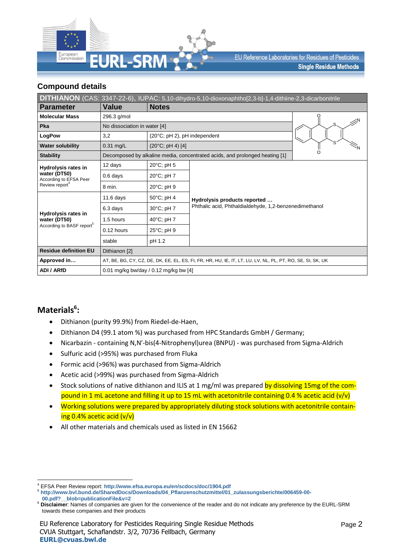

EU Reference Laboratories for Residues of Pesticides **Single Residue Methods** 

### **Compound details**

| DITHIANON (CAS: 3347-22-6), IUPAC: 5,10-dihydro-5,10-dioxonaphtho[2,3-b]-1,4-dithiine-2,3-dicarbonitrile |                                                                                                            |                                       |                                                                             |  |  |  |  |  |  |
|----------------------------------------------------------------------------------------------------------|------------------------------------------------------------------------------------------------------------|---------------------------------------|-----------------------------------------------------------------------------|--|--|--|--|--|--|
| <b>Parameter</b>                                                                                         | Value                                                                                                      | <b>Notes</b>                          |                                                                             |  |  |  |  |  |  |
| <b>Molecular Mass</b>                                                                                    | 296.3 g/mol                                                                                                |                                       |                                                                             |  |  |  |  |  |  |
| Pka                                                                                                      | No dissociation in water [4]                                                                               |                                       |                                                                             |  |  |  |  |  |  |
| LogPow                                                                                                   | 3,2                                                                                                        | (20°C; pH 2), pH independent          |                                                                             |  |  |  |  |  |  |
| <b>Water solubility</b>                                                                                  | $0.31$ mg/L                                                                                                | $(20^{\circ}C; pH 4)$ [4]             |                                                                             |  |  |  |  |  |  |
| <b>Stability</b>                                                                                         |                                                                                                            |                                       | Decomposed by alkaline media, concentrated acids, and prolonged heating [1] |  |  |  |  |  |  |
| <b>Hydrolysis rates in</b>                                                                               | 12 days                                                                                                    | 20°C; pH 5                            |                                                                             |  |  |  |  |  |  |
| water (DT50)<br>According to EFSA Peer<br>Review report <sup>4</sup>                                     | $0.6$ days                                                                                                 | 20°C; pH 7                            |                                                                             |  |  |  |  |  |  |
|                                                                                                          | 8 min.                                                                                                     | 20°C; pH 9                            |                                                                             |  |  |  |  |  |  |
|                                                                                                          | $11.6$ days                                                                                                | 50°C; pH 4                            | Hydrolysis products reported                                                |  |  |  |  |  |  |
| <b>Hydrolysis rates in</b>                                                                               | 6.3 days                                                                                                   | 30°C; pH 7                            | Phthalic acid, Phthaldialdehyde, 1,2-benzenedimethanol                      |  |  |  |  |  |  |
| water (DT50)                                                                                             | 1.5 hours                                                                                                  | 40°C; pH 7                            |                                                                             |  |  |  |  |  |  |
| According to BASF report <sup>5</sup>                                                                    | 0.12 hours                                                                                                 | 25°C; pH 9                            |                                                                             |  |  |  |  |  |  |
|                                                                                                          | stable                                                                                                     | pH 1.2                                |                                                                             |  |  |  |  |  |  |
| <b>Residue definition EU</b>                                                                             | Dithianon [2]                                                                                              |                                       |                                                                             |  |  |  |  |  |  |
| Approved in                                                                                              | AT, BE, BG, CY, CZ, DE, DK, EE, EL, ES, FI, FR, HR, HU, IE, IT, LT, LU, LV, NL, PL, PT, RO, SE, SI, SK, UK |                                       |                                                                             |  |  |  |  |  |  |
| <b>ADI / ARfD</b>                                                                                        |                                                                                                            | 0.01 mg/kg bw/day / 0.12 mg/kg bw [4] |                                                                             |  |  |  |  |  |  |

# **Materials<sup>6</sup> :**

- Dithianon (purity 99.9%) from Riedel-de-Haen,
- Dithianon D4 (99.1 atom %) was purchased from HPC Standards GmbH / Germany;
- Nicarbazin containing N,N′-bis(4-Nitrophenyl)urea (BNPU) was purchased from Sigma-Aldrich
- Sulfuric acid (>95%) was purchased from Fluka
- Formic acid (>96%) was purchased from Sigma-Aldrich
- Acetic acid (>99%) was purchased from Sigma-Aldrich
- Stock solutions of native dithianon and ILIS at 1 mg/ml was prepared by dissolving 15mg of the compound in 1 mL acetone and filling it up to 15 mL with acetonitrile containing 0.4 % acetic acid  $(v/v)$
- Working solutions were prepared by appropriately diluting stock solutions with acetonitrile containing 0.4% acetic acid (v/v)
- All other materials and chemicals used as listed in EN 15662

<sup>1</sup> <sup>4</sup> EFSA Peer Review report: **<http://www.efsa.europa.eu/en/scdocs/doc/1904.pdf>**

<sup>5</sup> **[http://www.bvl.bund.de/SharedDocs/Downloads/04\\_Pflanzenschutzmittel/01\\_zulassungsberichte/006459-00-](http://www.bvl.bund.de/SharedDocs/Downloads/04_Pflanzenschutzmittel/01_zulassungsberichte/006459-00-00.pdf?__blob=publicationFile&v=2)**

**[<sup>00.</sup>pdf?\\_\\_blob=publicationFile&v=2](http://www.bvl.bund.de/SharedDocs/Downloads/04_Pflanzenschutzmittel/01_zulassungsberichte/006459-00-00.pdf?__blob=publicationFile&v=2)**

<sup>6</sup> **Disclaimer**: Names of companies are given for the convenience of the reader and do not indicate any preference by the EURL-SRM towards these companies and their products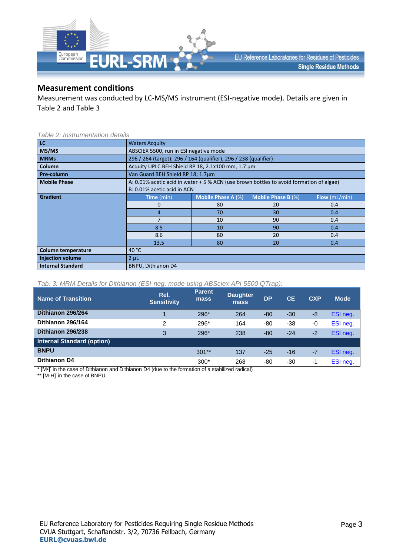

### **Measurement conditions**

Measurement was conducted by LC-MS/MS instrument (ESI-negative mode). Details are given in Table 2 and Table 3

#### *Table 2: Instrumentation details*

| LC.                      | <b>Waters Acquity</b>                                                                   |                                        |    |     |  |  |  |  |  |
|--------------------------|-----------------------------------------------------------------------------------------|----------------------------------------|----|-----|--|--|--|--|--|
| MS/MS                    |                                                                                         | ABSCIEX 5500, run in ESI negative mode |    |     |  |  |  |  |  |
| <b>MRMs</b>              | 296 / 264 (target); 296 / 164 (qualifier), 296 / 238 (qualifier)                        |                                        |    |     |  |  |  |  |  |
| Column                   | Acquity UPLC BEH Shield RP 18, 2.1x100 mm, 1.7 um                                       |                                        |    |     |  |  |  |  |  |
| Pre-column               | Van Guard BEH Shield RP 18; 1.7um                                                       |                                        |    |     |  |  |  |  |  |
| <b>Mobile Phase</b>      | A: 0.01% acetic acid in water + 5 % ACN (use brown bottles to avoid formation of algae) |                                        |    |     |  |  |  |  |  |
|                          | B: 0.01% acetic acid in ACN                                                             |                                        |    |     |  |  |  |  |  |
| <b>Gradient</b>          | Mobile Phase B (%)<br><b>Mobile Phase A (%)</b><br>Flow(mL/min)<br><b>Time</b> (min)    |                                        |    |     |  |  |  |  |  |
|                          | $\Omega$                                                                                | 80                                     | 20 | 0.4 |  |  |  |  |  |
|                          | 70<br>30<br>0.4<br>4                                                                    |                                        |    |     |  |  |  |  |  |
|                          | 7                                                                                       | 10                                     | 90 | 0.4 |  |  |  |  |  |
|                          | 8.5                                                                                     | 10                                     | 90 | 0.4 |  |  |  |  |  |
|                          | 8.6                                                                                     | 80                                     | 20 | 0.4 |  |  |  |  |  |
|                          | 80<br>13.5<br>20<br>0.4                                                                 |                                        |    |     |  |  |  |  |  |
| Column temperature       | 40 $°C$                                                                                 |                                        |    |     |  |  |  |  |  |
| <b>Injection volume</b>  | $2 \mu L$                                                                               |                                        |    |     |  |  |  |  |  |
| <b>Internal Standard</b> | <b>BNPU, Dithianon D4</b>                                                               |                                        |    |     |  |  |  |  |  |

#### *Tab. 3: MRM Details for Dithianon (ESI-neg. mode using ABSciex API 5500 QTrap):*

| <b>Name of Transition</b>         | Rel.<br><b>Sensitivity</b> | <b>Parent</b><br>mass | <b>Daughter</b><br>mass | <b>DP</b> | <b>CE</b> | <b>CXP</b> | <b>Mode</b> |
|-----------------------------------|----------------------------|-----------------------|-------------------------|-----------|-----------|------------|-------------|
| Dithianon 296/264                 |                            | 296*                  | 264                     | $-80$     | $-30$     | -8         | ESI neg.    |
| Dithianon 296/164                 | 2                          | 296*                  | 164                     | $-80$     | $-38$     | -0         | ESI neg.    |
| Dithianon 296/238                 | 3                          | 296*                  | 238                     | $-80$     | $-24$     | $-2$       | ESI neg.    |
| <b>Internal Standard (option)</b> |                            |                       |                         |           |           |            |             |
| <b>BNPU</b>                       |                            | $301**$               | 137                     | $-25$     | $-16$     | $-7$       | ESI neg.    |
| <b>Dithianon D4</b>               |                            | $300*$                | 268                     | -80       | -30       | -1         | ESI neg.    |

\* [M•]<sup>-</sup> in the case of Dithianon and Dithianon D4 (due to the formation of a stabilized radical)<br>\*\* [M-H]<sup>-</sup> in the case of BNPU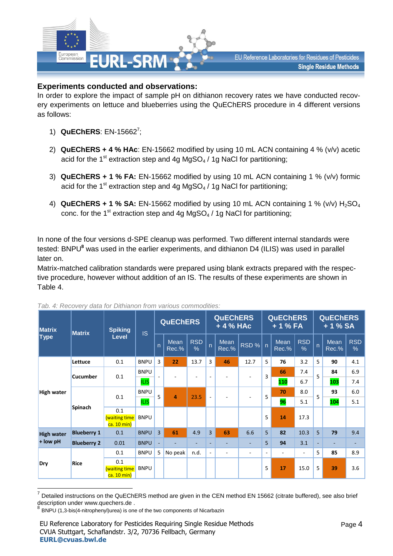

## **Experiments conducted and observations:**

In order to explore the impact of sample pH on dithianon recovery rates we have conducted recovery experiments on lettuce and blueberries using the QuEChERS procedure in 4 different versions as follows:

- 1) **QuEChERS**: EN-15662<sup>7</sup> ;
- 2) **QuEChERS + 4 % HAc**: EN-15662 modified by using 10 mL ACN containing 4 % (v/v) acetic acid for the 1<sup>st</sup> extraction step and 4g MgSO<sub>4</sub> / 1g NaCl for partitioning;
- 3) **QuEChERS + 1 % FA:** EN-15662 modified by using 10 mL ACN containing 1 % (v/v) formic acid for the 1<sup>st</sup> extraction step and 4g MgSO<sub>4</sub> / 1g NaCl for partitioning;
- 4) **QuEChERS + 1 % SA:** EN-15662 modified by using 10 mL ACN containing 1 % (v/v) H<sub>2</sub>SO<sub>4</sub> conc. for the 1<sup>st</sup> extraction step and 4g MgSO<sub>4</sub> / 1g NaCl for partitioning;

In none of the four versions d-SPE cleanup was performed. Two different internal standards were tested: BNPU**<sup>8</sup>** was used in the earlier experiments, and dithianon D4 (ILIS) was used in parallel later on.

Matrix-matched calibration standards were prepared using blank extracts prepared with the respective procedure, however without addition of an IS. The results of these experiments are shown in Table 4.

| <b>Matrix</b>      | <b>Matrix</b>      | <b>Spiking</b>                             | <b>IS</b>   |                | <b>QuEChERS</b>      |                             |                          | <b>QuEChERS</b><br>+ 4 % HAc |                          |                          | <b>QuEChERS</b><br>$+1%FA$ |                             |     | <b>QuEChERS</b><br>$+1% SA$ |                    |     |
|--------------------|--------------------|--------------------------------------------|-------------|----------------|----------------------|-----------------------------|--------------------------|------------------------------|--------------------------|--------------------------|----------------------------|-----------------------------|-----|-----------------------------|--------------------|-----|
| <b>Type</b>        |                    | Level                                      |             | $\overline{p}$ | <b>Mean</b><br>Rec.% | <b>RSD</b><br>$\frac{0}{0}$ | $\overline{p}$           | Mean<br>Rec.%                | RSD%                     | $\overline{p}$           | Mean<br>Rec.%              | <b>RSD</b><br>$\frac{0}{6}$ | 'n  | <b>Mean</b><br>Rec.%        | <b>RSD</b><br>$\%$ |     |
|                    | Lettuce            | 0.1                                        | <b>BNPU</b> | 3              | 22                   | 13.7                        | 3                        | 46                           | 12.7                     | 5                        | 76                         | 3.2                         | 5   | 90                          | 4.1                |     |
|                    | <b>Cucumber</b>    |                                            | 0.1         | <b>BNPU</b>    |                      |                             |                          | ٠                            |                          | $\overline{\phantom{a}}$ | 3                          | 66                          | 7.4 | 5                           | 84                 | 6.9 |
|                    |                    |                                            | <b>ILIS</b> |                |                      |                             |                          |                              |                          |                          | 110                        | 6.7                         |     | 103                         | 7.4                |     |
| High water         |                    | 0.1                                        | <b>BNPU</b> | 5              | $\overline{a}$       | 23.5                        | ٠                        |                              | ۰                        | 5                        | 70                         | 8.0                         | 5   | 93                          | 6.0                |     |
|                    | <b>Spinach</b>     |                                            | <b>ILIS</b> |                |                      |                             |                          |                              |                          |                          | 96                         | 5.1                         |     | 104                         | 5.1                |     |
|                    |                    | 0.1<br><b>(waiting time</b><br>ca. 10 min) | <b>BNPU</b> |                |                      |                             |                          |                              |                          | 5                        | 14                         | 17.3                        |     |                             |                    |     |
| <b>High water</b>  | <b>Blueberry 1</b> | 0.1                                        | <b>BNPU</b> | $\overline{3}$ | 61                   | 4.9                         | $\overline{3}$           | 63                           | 6.6                      | 5                        | 82                         | 10.3                        | 5   | 79                          | 9.4                |     |
| + low pH           | <b>Blueberry 2</b> | 0.01                                       | <b>BNPU</b> |                |                      | ۰                           | ٠                        | ۰                            | ٠                        | 5                        | 94                         | 3.1                         | ٠   | ٠                           |                    |     |
| <b>Rice</b><br>Dry |                    | 0.1                                        | <b>BNPU</b> | 5              | No peak              | n.d.                        | $\overline{\phantom{a}}$ | ٠                            | $\overline{\phantom{a}}$ | ٠                        | ٠                          | $\sim$                      | 5   | 85                          | 8.9                |     |
|                    |                    | 0.1<br>(waiting time<br>ca. 10 min)        | <b>BNPU</b> |                |                      |                             |                          |                              |                          | 5                        | 17                         | 15.0                        | 5   | 39                          | 3.6                |     |

*Tab. 4: Recovery data for Dithianon from various commodities:*

1

<sup>7</sup> Detailed instructions on the QuEChERS method are given in the CEN method EN 15662 (citrate buffered), see also brief description under [www.quechers.de](http://www.quechers.de/) .

<sup>8</sup> BNPU (1,3-bis(4-nitrophenyl)urea) is one of the two components of Nicarbazin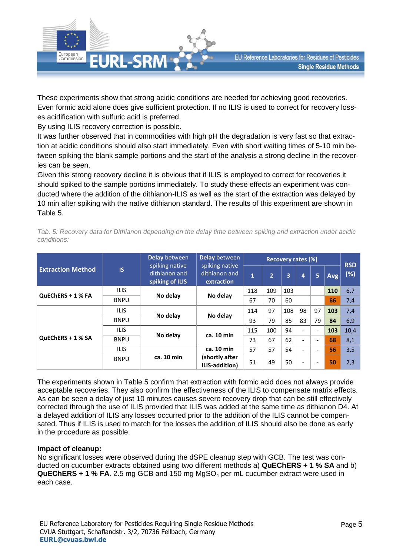

These experiments show that strong acidic conditions are needed for achieving good recoveries. Even formic acid alone does give sufficient protection. If no ILIS is used to correct for recovery losses acidification with sulfuric acid is preferred.

By using ILIS recovery correction is possible.

It was further observed that in commodities with high pH the degradation is very fast so that extraction at acidic conditions should also start immediately. Even with short waiting times of 5-10 min between spiking the blank sample portions and the start of the analysis a strong decline in the recoveries can be seen.

Given this strong recovery decline it is obvious that if ILIS is employed to correct for recoveries it should spiked to the sample portions immediately. To study these effects an experiment was conducted where the addition of the dithianon-ILIS as well as the start of the extraction was delayed by 10 min after spiking with the native dithianon standard. The results of this experiment are shown in Table 5.

|                          |             | Delay between                                      | Delay between                                 |              | <b>RSD</b>     |     |                          |                          |     |      |
|--------------------------|-------------|----------------------------------------------------|-----------------------------------------------|--------------|----------------|-----|--------------------------|--------------------------|-----|------|
| <b>Extraction Method</b> | <b>IS</b>   | spiking native<br>dithianon and<br>spiking of ILIS | spiking native<br>dithianon and<br>extraction | $\mathbf{1}$ | $\overline{2}$ | 3   | 4                        | 5                        | Avg | (%)  |
|                          | <b>ILIS</b> | No delay                                           | No delay                                      | 118          | 109            | 103 |                          |                          | 110 | 6,7  |
| QuEChERS + 1 % FA        | <b>BNPU</b> |                                                    |                                               | 67           | 70             | 60  |                          |                          | 66  | 7,4  |
| <b>QuEChERS + 1 % SA</b> | <b>ILIS</b> |                                                    | No delay                                      | 114          | 97             | 108 | 98                       | 97                       | 103 | 7,4  |
|                          | <b>BNPU</b> | No delay                                           |                                               | 93           | 79             | 85  | 83                       | 79                       | 84  | 6,9  |
|                          | <b>ILIS</b> |                                                    | ca. 10 min                                    | 115          | 100            | 94  | $\qquad \qquad -$        | $\overline{\phantom{a}}$ | 103 | 10,4 |
|                          | <b>BNPU</b> | No delay                                           |                                               | 73           | 67             | 62  | $\overline{\phantom{a}}$ | $\overline{\phantom{0}}$ | 68  | 8,1  |
|                          | <b>ILIS</b> |                                                    | ca. 10 min                                    | 57           | 57             | 54  | ۰                        |                          | 56  | 3,5  |
|                          | <b>BNPU</b> | ca. 10 min                                         | (shortly after<br>ILIS-addition)              | 51           | 49             | 50  | $\overline{\phantom{a}}$ | $\overline{\phantom{0}}$ | 50  | 2,3  |

*Tab. 5: Recovery data for Dithianon depending on the delay time between spiking and extraction under acidic conditions:*

The experiments shown in Table 5 confirm that extraction with formic acid does not always provide acceptable recoveries. They also confirm the effectiveness of the ILIS to compensate matrix effects. As can be seen a delay of just 10 minutes causes severe recovery drop that can be still effectively corrected through the use of ILIS provided that ILIS was added at the same time as dithianon D4. At a delayed addition of ILIS any losses occurred prior to the addition of the ILIS cannot be compensated. Thus if ILIS is used to match for the losses the addition of ILIS should also be done as early in the procedure as possible.

### **Impact of cleanup:**

No significant losses were observed during the dSPE cleanup step with GCB. The test was conducted on cucumber extracts obtained using two different methods a) **QuEChERS + 1 % SA** and b) **QuEChERS + 1 % FA**. 2.5 mg GCB and 150 mg MgSO<sup>4</sup> per mL cucumber extract were used in each case.